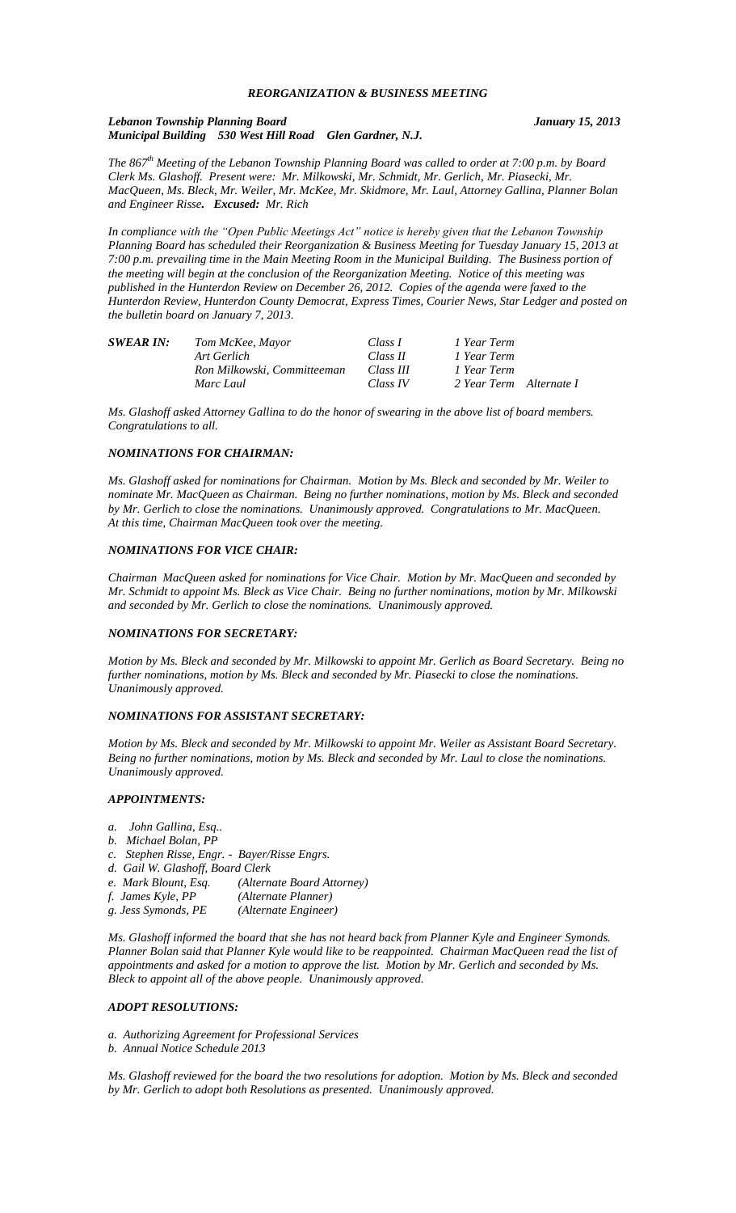## *REORGANIZATION & BUSINESS MEETING*

### *Lebanon Township Planning Board January 15, 2013 Municipal Building 530 West Hill Road Glen Gardner, N.J.*

*The 867th Meeting of the Lebanon Township Planning Board was called to order at 7:00 p.m. by Board Clerk Ms. Glashoff. Present were: Mr. Milkowski, Mr. Schmidt, Mr. Gerlich, Mr. Piasecki, Mr. MacQueen, Ms. Bleck, Mr. Weiler, Mr. McKee, Mr. Skidmore, Mr. Laul, Attorney Gallina, Planner Bolan and Engineer Risse. Excused: Mr. Rich*

*In compliance with the "Open Public Meetings Act" notice is hereby given that the Lebanon Township Planning Board has scheduled their Reorganization & Business Meeting for Tuesday January 15, 2013 at 7:00 p.m. prevailing time in the Main Meeting Room in the Municipal Building. The Business portion of the meeting will begin at the conclusion of the Reorganization Meeting. Notice of this meeting was published in the Hunterdon Review on December 26, 2012. Copies of the agenda were faxed to the Hunterdon Review, Hunterdon County Democrat, Express Times, Courier News, Star Ledger and posted on the bulletin board on January 7, 2013.* 

| <b>SWEAR IN:</b> | Tom McKee, Mayor            | Class I   | 1 Year Term             |  |
|------------------|-----------------------------|-----------|-------------------------|--|
|                  | Art Gerlich                 | Class II  | 1 Year Term             |  |
|                  | Ron Milkowski, Committeeman | Class III | 1 Year Term             |  |
|                  | Marc Laul                   | Class IV  | 2 Year Term Alternate I |  |

*Ms. Glashoff asked Attorney Gallina to do the honor of swearing in the above list of board members. Congratulations to all.* 

### *NOMINATIONS FOR CHAIRMAN:*

*Ms. Glashoff asked for nominations for Chairman. Motion by Ms. Bleck and seconded by Mr. Weiler to nominate Mr. MacQueen as Chairman. Being no further nominations, motion by Ms. Bleck and seconded by Mr. Gerlich to close the nominations. Unanimously approved. Congratulations to Mr. MacQueen. At this time, Chairman MacQueen took over the meeting.*

## *NOMINATIONS FOR VICE CHAIR:*

*Chairman MacQueen asked for nominations for Vice Chair. Motion by Mr. MacQueen and seconded by Mr. Schmidt to appoint Ms. Bleck as Vice Chair. Being no further nominations, motion by Mr. Milkowski and seconded by Mr. Gerlich to close the nominations. Unanimously approved.* 

#### *NOMINATIONS FOR SECRETARY:*

*Motion by Ms. Bleck and seconded by Mr. Milkowski to appoint Mr. Gerlich as Board Secretary. Being no further nominations, motion by Ms. Bleck and seconded by Mr. Piasecki to close the nominations. Unanimously approved.*

#### *NOMINATIONS FOR ASSISTANT SECRETARY:*

*Motion by Ms. Bleck and seconded by Mr. Milkowski to appoint Mr. Weiler as Assistant Board Secretary. Being no further nominations, motion by Ms. Bleck and seconded by Mr. Laul to close the nominations. Unanimously approved.*

### *APPOINTMENTS:*

- *a. John Gallina, Esq..*
- *b. Michael Bolan, PP*
- *c. Stephen Risse, Engr. - Bayer/Risse Engrs.*
- *d. Gail W. Glashoff, Board Clerk*
- *(Alternate Board Attorney)*
- *f. James Kyle, PP (Alternate Planner)*
- *g. Jess Symonds, PE (Alternate Engineer)*

*Ms. Glashoff informed the board that she has not heard back from Planner Kyle and Engineer Symonds. Planner Bolan said that Planner Kyle would like to be reappointed. Chairman MacQueen read the list of appointments and asked for a motion to approve the list. Motion by Mr. Gerlich and seconded by Ms. Bleck to appoint all of the above people. Unanimously approved.*

### *ADOPT RESOLUTIONS:*

*a. Authorizing Agreement for Professional Services*

*b. Annual Notice Schedule 2013*

*Ms. Glashoff reviewed for the board the two resolutions for adoption. Motion by Ms. Bleck and seconded by Mr. Gerlich to adopt both Resolutions as presented. Unanimously approved.*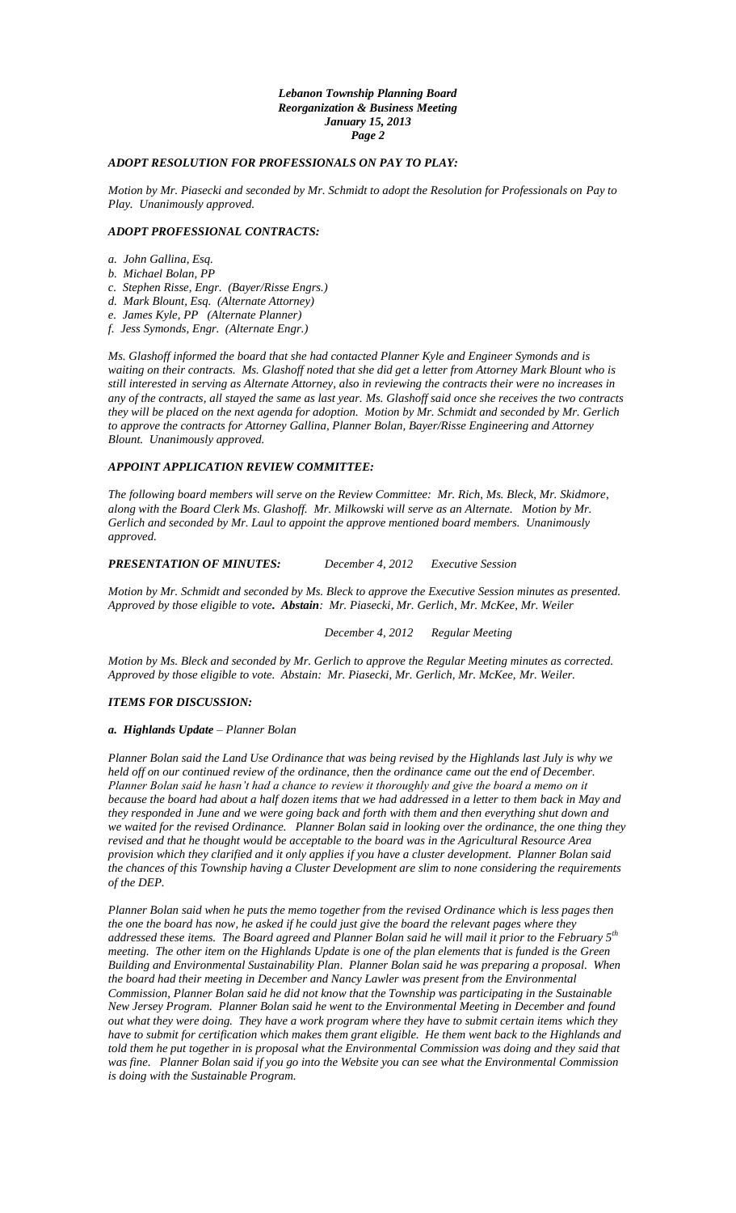## *Lebanon Township Planning Board Reorganization & Business Meeting January 15, 2013 Page 2*

# *ADOPT RESOLUTION FOR PROFESSIONALS ON PAY TO PLAY:*

*Motion by Mr. Piasecki and seconded by Mr. Schmidt to adopt the Resolution for Professionals on Pay to Play. Unanimously approved.*

## *ADOPT PROFESSIONAL CONTRACTS:*

- *a. John Gallina, Esq.*
- *b. Michael Bolan, PP*
- *c. Stephen Risse, Engr. (Bayer/Risse Engrs.)*

*d. Mark Blount, Esq. (Alternate Attorney)*

*e. James Kyle, PP (Alternate Planner)*

*f. Jess Symonds, Engr. (Alternate Engr.)*

*Ms. Glashoff informed the board that she had contacted Planner Kyle and Engineer Symonds and is waiting on their contracts. Ms. Glashoff noted that she did get a letter from Attorney Mark Blount who is still interested in serving as Alternate Attorney, also in reviewing the contracts their were no increases in any of the contracts, all stayed the same as last year. Ms. Glashoff said once she receives the two contracts they will be placed on the next agenda for adoption. Motion by Mr. Schmidt and seconded by Mr. Gerlich to approve the contracts for Attorney Gallina, Planner Bolan, Bayer/Risse Engineering and Attorney Blount. Unanimously approved.*

## *APPOINT APPLICATION REVIEW COMMITTEE:*

*The following board members will serve on the Review Committee: Mr. Rich, Ms. Bleck, Mr. Skidmore, along with the Board Clerk Ms. Glashoff. Mr. Milkowski will serve as an Alternate. Motion by Mr. Gerlich and seconded by Mr. Laul to appoint the approve mentioned board members. Unanimously approved.*

# *PRESENTATION OF MINUTES: December 4, 2012 Executive Session*

*Motion by Mr. Schmidt and seconded by Ms. Bleck to approve the Executive Session minutes as presented. Approved by those eligible to vote. Abstain: Mr. Piasecki, Mr. Gerlich, Mr. McKee, Mr. Weiler*

*December 4, 2012 Regular Meeting*

*Motion by Ms. Bleck and seconded by Mr. Gerlich to approve the Regular Meeting minutes as corrected. Approved by those eligible to vote. Abstain: Mr. Piasecki, Mr. Gerlich, Mr. McKee, Mr. Weiler.*

### *ITEMS FOR DISCUSSION:*

### *a. Highlands Update – Planner Bolan*

*Planner Bolan said the Land Use Ordinance that was being revised by the Highlands last July is why we held off on our continued review of the ordinance, then the ordinance came out the end of December. Planner Bolan said he hasn't had a chance to review it thoroughly and give the board a memo on it because the board had about a half dozen items that we had addressed in a letter to them back in May and they responded in June and we were going back and forth with them and then everything shut down and we waited for the revised Ordinance. Planner Bolan said in looking over the ordinance, the one thing they revised and that he thought would be acceptable to the board was in the Agricultural Resource Area provision which they clarified and it only applies if you have a cluster development. Planner Bolan said the chances of this Township having a Cluster Development are slim to none considering the requirements of the DEP.*

*Planner Bolan said when he puts the memo together from the revised Ordinance which is less pages then the one the board has now, he asked if he could just give the board the relevant pages where they addressed these items. The Board agreed and Planner Bolan said he will mail it prior to the February 5th meeting. The other item on the Highlands Update is one of the plan elements that is funded is the Green Building and Environmental Sustainability Plan. Planner Bolan said he was preparing a proposal. When the board had their meeting in December and Nancy Lawler was present from the Environmental Commission, Planner Bolan said he did not know that the Township was participating in the Sustainable New Jersey Program. Planner Bolan said he went to the Environmental Meeting in December and found out what they were doing. They have a work program where they have to submit certain items which they have to submit for certification which makes them grant eligible. He them went back to the Highlands and told them he put together in is proposal what the Environmental Commission was doing and they said that was fine. Planner Bolan said if you go into the Website you can see what the Environmental Commission is doing with the Sustainable Program.*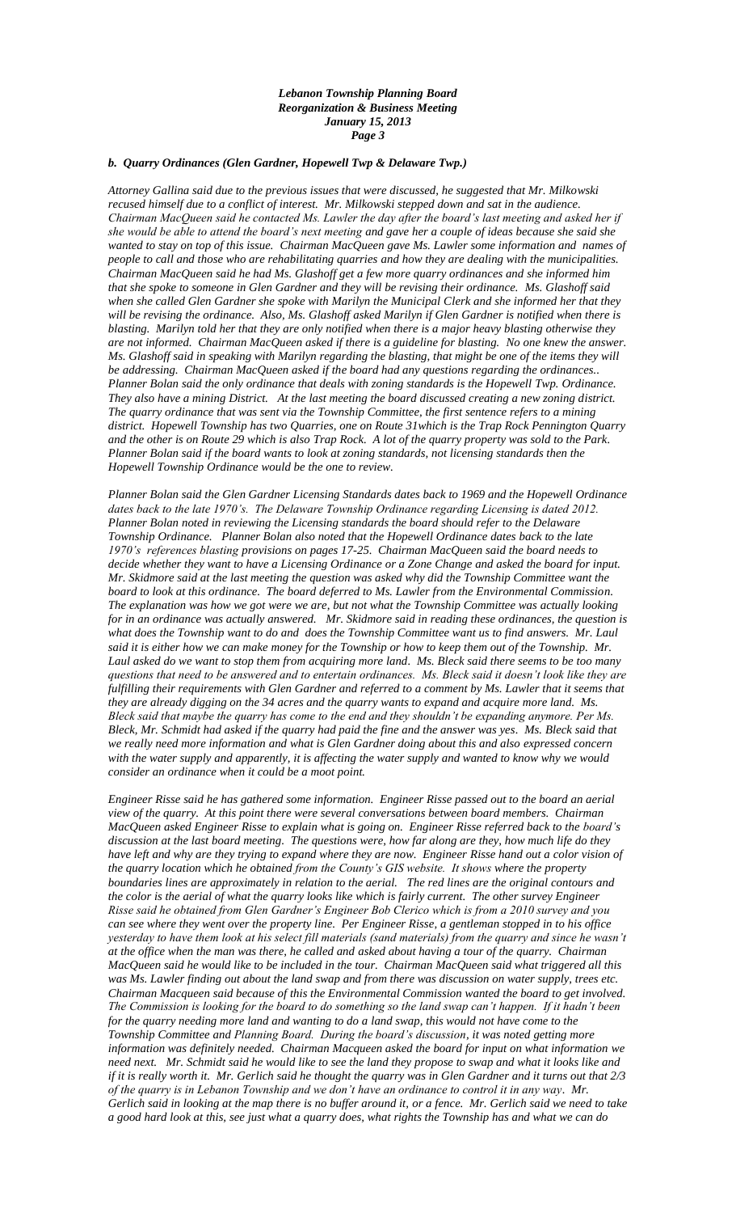### *Lebanon Township Planning Board Reorganization & Business Meeting January 15, 2013 Page 3*

# *b. Quarry Ordinances (Glen Gardner, Hopewell Twp & Delaware Twp.)*

*Attorney Gallina said due to the previous issues that were discussed, he suggested that Mr. Milkowski recused himself due to a conflict of interest. Mr. Milkowski stepped down and sat in the audience. Chairman MacQueen said he contacted Ms. Lawler the day after the board's last meeting and asked her if she would be able to attend the board's next meeting and gave her a couple of ideas because she said she wanted to stay on top of this issue. Chairman MacQueen gave Ms. Lawler some information and names of people to call and those who are rehabilitating quarries and how they are dealing with the municipalities. Chairman MacQueen said he had Ms. Glashoff get a few more quarry ordinances and she informed him that she spoke to someone in Glen Gardner and they will be revising their ordinance. Ms. Glashoff said when she called Glen Gardner she spoke with Marilyn the Municipal Clerk and she informed her that they will be revising the ordinance. Also, Ms. Glashoff asked Marilyn if Glen Gardner is notified when there is blasting. Marilyn told her that they are only notified when there is a major heavy blasting otherwise they are not informed. Chairman MacQueen asked if there is a guideline for blasting. No one knew the answer. Ms. Glashoff said in speaking with Marilyn regarding the blasting, that might be one of the items they will be addressing. Chairman MacQueen asked if the board had any questions regarding the ordinances.. Planner Bolan said the only ordinance that deals with zoning standards is the Hopewell Twp. Ordinance. They also have a mining District. At the last meeting the board discussed creating a new zoning district. The quarry ordinance that was sent via the Township Committee, the first sentence refers to a mining district. Hopewell Township has two Quarries, one on Route 31which is the Trap Rock Pennington Quarry and the other is on Route 29 which is also Trap Rock. A lot of the quarry property was sold to the Park. Planner Bolan said if the board wants to look at zoning standards, not licensing standards then the Hopewell Township Ordinance would be the one to review.* 

*Planner Bolan said the Glen Gardner Licensing Standards dates back to 1969 and the Hopewell Ordinance dates back to the late 1970's. The Delaware Township Ordinance regarding Licensing is dated 2012. Planner Bolan noted in reviewing the Licensing standards the board should refer to the Delaware Township Ordinance. Planner Bolan also noted that the Hopewell Ordinance dates back to the late 1970's references blasting provisions on pages 17-25. Chairman MacQueen said the board needs to decide whether they want to have a Licensing Ordinance or a Zone Change and asked the board for input. Mr. Skidmore said at the last meeting the question was asked why did the Township Committee want the board to look at this ordinance. The board deferred to Ms. Lawler from the Environmental Commission. The explanation was how we got were we are, but not what the Township Committee was actually looking for in an ordinance was actually answered. Mr. Skidmore said in reading these ordinances, the question is what does the Township want to do and does the Township Committee want us to find answers. Mr. Laul said it is either how we can make money for the Township or how to keep them out of the Township. Mr. Laul asked do we want to stop them from acquiring more land. Ms. Bleck said there seems to be too many questions that need to be answered and to entertain ordinances. Ms. Bleck said it doesn't look like they are fulfilling their requirements with Glen Gardner and referred to a comment by Ms. Lawler that it seems that they are already digging on the 34 acres and the quarry wants to expand and acquire more land. Ms. Bleck said that maybe the quarry has come to the end and they shouldn't be expanding anymore. Per Ms. Bleck, Mr. Schmidt had asked if the quarry had paid the fine and the answer was yes. Ms. Bleck said that we really need more information and what is Glen Gardner doing about this and also expressed concern with the water supply and apparently, it is affecting the water supply and wanted to know why we would consider an ordinance when it could be a moot point.*

*Engineer Risse said he has gathered some information. Engineer Risse passed out to the board an aerial view of the quarry. At this point there were several conversations between board members. Chairman MacQueen asked Engineer Risse to explain what is going on. Engineer Risse referred back to the board's discussion at the last board meeting. The questions were, how far along are they, how much life do they have left and why are they trying to expand where they are now. Engineer Risse hand out a color vision of the quarry location which he obtained from the County's GIS website. It shows where the property boundaries lines are approximately in relation to the aerial. The red lines are the original contours and the color is the aerial of what the quarry looks like which is fairly current. The other survey Engineer Risse said he obtained from Glen Gardner's Engineer Bob Clerico which is from a 2010 survey and you can see where they went over the property line. Per Engineer Risse, a gentleman stopped in to his office yesterday to have them look at his select fill materials (sand materials) from the quarry and since he wasn't at the office when the man was there, he called and asked about having a tour of the quarry. Chairman MacQueen said he would like to be included in the tour. Chairman MacQueen said what triggered all this was Ms. Lawler finding out about the land swap and from there was discussion on water supply, trees etc. Chairman Macqueen said because of this the Environmental Commission wanted the board to get involved. The Commission is looking for the board to do something so the land swap can't happen. If it hadn't been for the quarry needing more land and wanting to do a land swap, this would not have come to the Township Committee and Planning Board. During the board's discussion, it was noted getting more information was definitely needed. Chairman Macqueen asked the board for input on what information we need next. Mr. Schmidt said he would like to see the land they propose to swap and what it looks like and if it is really worth it. Mr. Gerlich said he thought the quarry was in Glen Gardner and it turns out that 2/3 of the quarry is in Lebanon Township and we don't have an ordinance to control it in any way. Mr. Gerlich said in looking at the map there is no buffer around it, or a fence. Mr. Gerlich said we need to take a good hard look at this, see just what a quarry does, what rights the Township has and what we can do*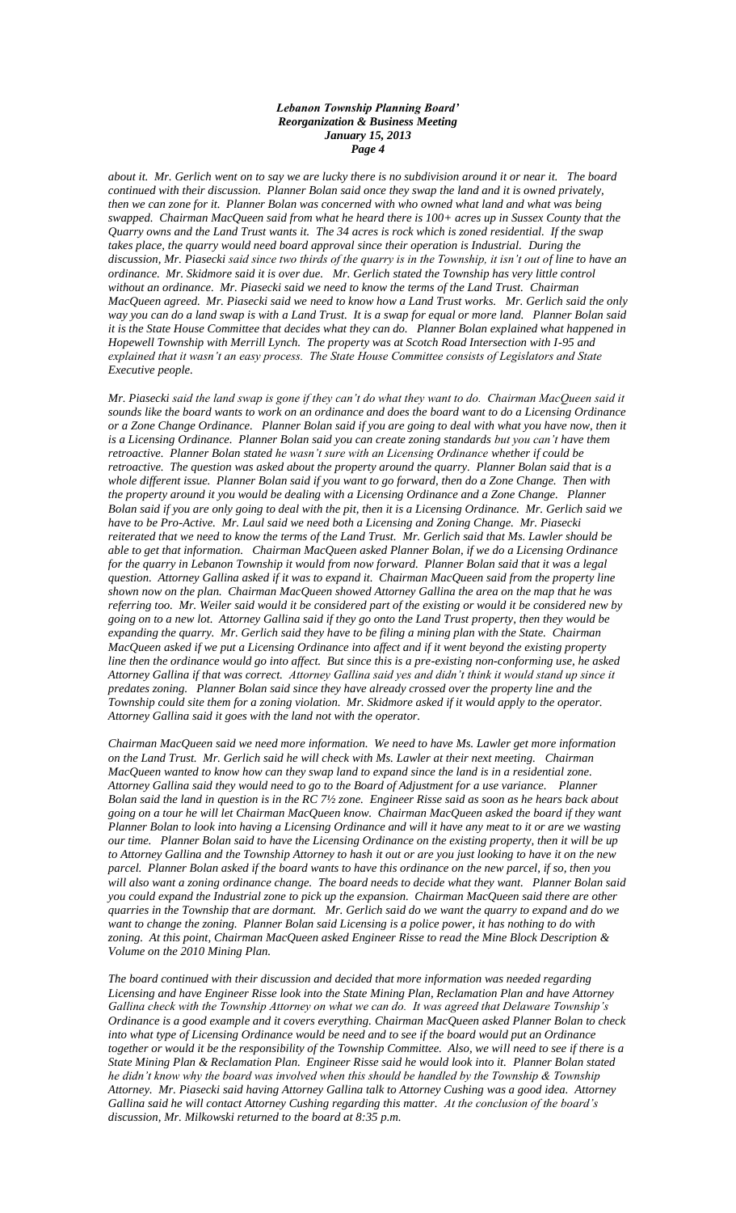### *Lebanon Township Planning Board' Reorganization & Business Meeting January 15, 2013 Page 4*

*about it. Mr. Gerlich went on to say we are lucky there is no subdivision around it or near it. The board continued with their discussion. Planner Bolan said once they swap the land and it is owned privately, then we can zone for it. Planner Bolan was concerned with who owned what land and what was being swapped. Chairman MacQueen said from what he heard there is 100+ acres up in Sussex County that the Quarry owns and the Land Trust wants it. The 34 acres is rock which is zoned residential. If the swap takes place, the quarry would need board approval since their operation is Industrial. During the discussion, Mr. Piasecki said since two thirds of the quarry is in the Township, it isn't out of line to have an ordinance. Mr. Skidmore said it is over due. Mr. Gerlich stated the Township has very little control without an ordinance. Mr. Piasecki said we need to know the terms of the Land Trust. Chairman MacQueen agreed. Mr. Piasecki said we need to know how a Land Trust works. Mr. Gerlich said the only way you can do a land swap is with a Land Trust. It is a swap for equal or more land. Planner Bolan said it is the State House Committee that decides what they can do. Planner Bolan explained what happened in Hopewell Township with Merrill Lynch. The property was at Scotch Road Intersection with I-95 and explained that it wasn't an easy process. The State House Committee consists of Legislators and State Executive people.*

*Mr. Piasecki said the land swap is gone if they can't do what they want to do. Chairman MacQueen said it sounds like the board wants to work on an ordinance and does the board want to do a Licensing Ordinance or a Zone Change Ordinance. Planner Bolan said if you are going to deal with what you have now, then it is a Licensing Ordinance. Planner Bolan said you can create zoning standards but you can't have them retroactive. Planner Bolan stated he wasn't sure with an Licensing Ordinance whether if could be retroactive. The question was asked about the property around the quarry. Planner Bolan said that is a whole different issue. Planner Bolan said if you want to go forward, then do a Zone Change. Then with the property around it you would be dealing with a Licensing Ordinance and a Zone Change. Planner Bolan said if you are only going to deal with the pit, then it is a Licensing Ordinance. Mr. Gerlich said we have to be Pro-Active. Mr. Laul said we need both a Licensing and Zoning Change. Mr. Piasecki reiterated that we need to know the terms of the Land Trust. Mr. Gerlich said that Ms. Lawler should be able to get that information. Chairman MacQueen asked Planner Bolan, if we do a Licensing Ordinance for the quarry in Lebanon Township it would from now forward. Planner Bolan said that it was a legal question. Attorney Gallina asked if it was to expand it. Chairman MacQueen said from the property line shown now on the plan. Chairman MacQueen showed Attorney Gallina the area on the map that he was referring too. Mr. Weiler said would it be considered part of the existing or would it be considered new by going on to a new lot. Attorney Gallina said if they go onto the Land Trust property, then they would be expanding the quarry. Mr. Gerlich said they have to be filing a mining plan with the State. Chairman MacQueen asked if we put a Licensing Ordinance into affect and if it went beyond the existing property line then the ordinance would go into affect. But since this is a pre-existing non-conforming use, he asked Attorney Gallina if that was correct. Attorney Gallina said yes and didn't think it would stand up since it predates zoning. Planner Bolan said since they have already crossed over the property line and the Township could site them for a zoning violation. Mr. Skidmore asked if it would apply to the operator. Attorney Gallina said it goes with the land not with the operator.* 

*Chairman MacQueen said we need more information. We need to have Ms. Lawler get more information on the Land Trust. Mr. Gerlich said he will check with Ms. Lawler at their next meeting. Chairman MacQueen wanted to know how can they swap land to expand since the land is in a residential zone. Attorney Gallina said they would need to go to the Board of Adjustment for a use variance. Planner Bolan said the land in question is in the RC 7½ zone. Engineer Risse said as soon as he hears back about going on a tour he will let Chairman MacQueen know. Chairman MacQueen asked the board if they want Planner Bolan to look into having a Licensing Ordinance and will it have any meat to it or are we wasting our time. Planner Bolan said to have the Licensing Ordinance on the existing property, then it will be up to Attorney Gallina and the Township Attorney to hash it out or are you just looking to have it on the new parcel. Planner Bolan asked if the board wants to have this ordinance on the new parcel, if so, then you will also want a zoning ordinance change. The board needs to decide what they want. Planner Bolan said you could expand the Industrial zone to pick up the expansion. Chairman MacQueen said there are other quarries in the Township that are dormant. Mr. Gerlich said do we want the quarry to expand and do we want to change the zoning. Planner Bolan said Licensing is a police power, it has nothing to do with zoning. At this point, Chairman MacQueen asked Engineer Risse to read the Mine Block Description & Volume on the 2010 Mining Plan.*

*The board continued with their discussion and decided that more information was needed regarding Licensing and have Engineer Risse look into the State Mining Plan, Reclamation Plan and have Attorney Gallina check with the Township Attorney on what we can do. It was agreed that Delaware Township's Ordinance is a good example and it covers everything. Chairman MacQueen asked Planner Bolan to check into what type of Licensing Ordinance would be need and to see if the board would put an Ordinance together or would it be the responsibility of the Township Committee. Also, we will need to see if there is a State Mining Plan & Reclamation Plan. Engineer Risse said he would look into it. Planner Bolan stated he didn't know why the board was involved when this should be handled by the Township & Township Attorney. Mr. Piasecki said having Attorney Gallina talk to Attorney Cushing was a good idea. Attorney Gallina said he will contact Attorney Cushing regarding this matter. At the conclusion of the board's discussion, Mr. Milkowski returned to the board at 8:35 p.m.*